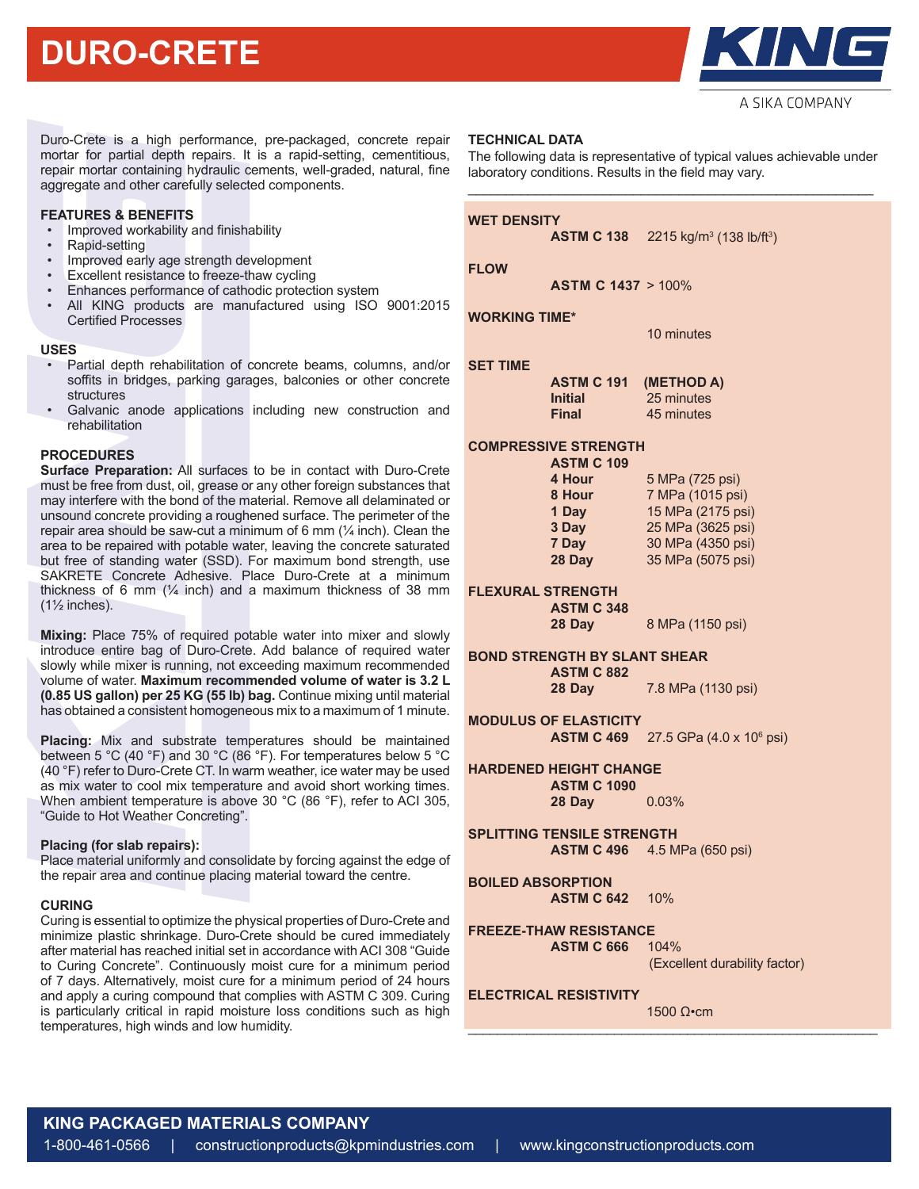# **DURO-CRETE**



A SIKA COMPANY

Duro-Crete is a high performance, pre-packaged, concrete repair mortar for partial depth repairs. It is a rapid-setting, cementitious, repair mortar containing hydraulic cements, well-graded, natural, fine aggregate and other carefully selected components.

# **FEATURES & BENEFITS**

- Improved workability and finishability
- Rapid-setting
- Improved early age strength development
- Excellent resistance to freeze-thaw cycling
- Enhances performance of cathodic protection system
- All KING products are manufactured using ISO 9001:2015 Certified Processes

#### **USES**

- Partial depth rehabilitation of concrete beams, columns, and/or soffits in bridges, parking garages, balconies or other concrete structures
- Galvanic anode applications including new construction and rehabilitation

## **PROCEDURES**

**Surface Preparation:** All surfaces to be in contact with Duro-Crete must be free from dust, oil, grease or any other foreign substances that may interfere with the bond of the material. Remove all delaminated or unsound concrete providing a roughened surface. The perimeter of the repair area should be saw-cut a minimum of 6 mm  $(1/4)$  inch). Clean the area to be repaired with potable water, leaving the concrete saturated but free of standing water (SSD). For maximum bond strength, use SAKRETE Concrete Adhesive. Place Duro-Crete at a minimum thickness of 6 mm  $(\frac{1}{4}$  inch) and a maximum thickness of 38 mm  $(1\frac{1}{2}$  inches).

**Mixing:** Place 75% of required potable water into mixer and slowly introduce entire bag of Duro-Crete. Add balance of required water slowly while mixer is running, not exceeding maximum recommended volume of water. **Maximum recommended volume of water is 3.2 L (0.85 US gallon) per 25 KG (55 lb) bag.** Continue mixing until material has obtained a consistent homogeneous mix to a maximum of 1 minute.

**Placing:** Mix and substrate temperatures should be maintained between 5 °C (40 °F) and 30 °C (86 °F). For temperatures below 5 °C (40 °F) refer to Duro-Crete CT. In warm weather, ice water may be used as mix water to cool mix temperature and avoid short working times. When ambient temperature is above 30 °C (86 °F), refer to ACI 305, "Guide to Hot Weather Concreting".

#### **Placing (for slab repairs):**

Place material uniformly and consolidate by forcing against the edge of the repair area and continue placing material toward the centre.

## **CURING**

Curing is essential to optimize the physical properties of Duro-Crete and minimize plastic shrinkage. Duro-Crete should be cured immediately after material has reached initial set in accordance with ACI 308 "Guide to Curing Concrete". Continuously moist cure for a minimum period of 7 days. Alternatively, moist cure for a minimum period of 24 hours and apply a curing compound that complies with ASTM C 309. Curing is particularly critical in rapid moisture loss conditions such as high temperatures, high winds and low humidity.

# **TECHNICAL DATA**

The following data is representative of typical values achievable under laboratory conditions. Results in the field may vary. \_\_\_\_\_\_\_\_\_\_\_\_\_\_\_\_\_\_\_\_\_\_\_\_\_\_\_\_\_\_\_\_\_\_\_\_\_\_\_\_\_\_\_\_\_\_\_\_\_\_\_\_\_\_

# **WET DENSITY**

**ASTM C 138**  $(138 \text{ lb/ft}^3)$ 

**FLOW**

**ASTM C 1437** > 100%

## **WORKING TIME\***

10 minutes

## **SET TIME**

| <b>ASTM C 191</b> | (METHOD A) |
|-------------------|------------|
| <b>Initial</b>    | 25 minutes |
| <b>Final</b>      | 45 minutes |

# **COMPRESSIVE STRENGTH**

| <b>ASTM C 109</b> |                   |
|-------------------|-------------------|
| 4 Hour            | 5 MPa (725 psi)   |
| 8 Hour            | 7 MPa (1015 psi)  |
| 1 Day             | 15 MPa (2175 psi) |
| 3 Day             | 25 MPa (3625 psi) |
| 7 Day             | 30 MPa (4350 psi) |
| 28 Day            | 35 MPa (5075 psi) |
|                   |                   |

**FLEXURAL STRENGTH**

**ASTM C 348**

**28 Day** 8 MPa (1150 psi)

# **BOND STRENGTH BY SLANT SHEAR ASTM C 882**

 **28 Day** 7.8 MPa (1130 psi)

**MODULUS OF ELASTICITY ASTM C 469** 27.5 GPa (4.0 x 10<sup>6</sup> psi)

# **HARDENED HEIGHT CHANGE ASTM C 1090 28 Day** 0.03%

**SPLITTING TENSILE STRENGTH ASTM C 496** 4.5 MPa (650 psi)

**BOILED ABSORPTION ASTM C 642** 10%

**FREEZE-THAW RESISTANCE**

**ASTM C 666** 104%

(Excellent durability factor)

# **ELECTRICAL RESISTIVITY**

1500 Ω•cm \_\_\_\_\_\_\_\_\_\_\_\_\_\_\_\_\_\_\_\_\_\_\_\_\_\_\_\_\_\_\_\_\_\_\_\_\_\_\_\_\_\_\_\_\_\_\_\_\_\_\_\_\_\_\_\_

# **KING PACKAGED MATERIALS COMPANY**